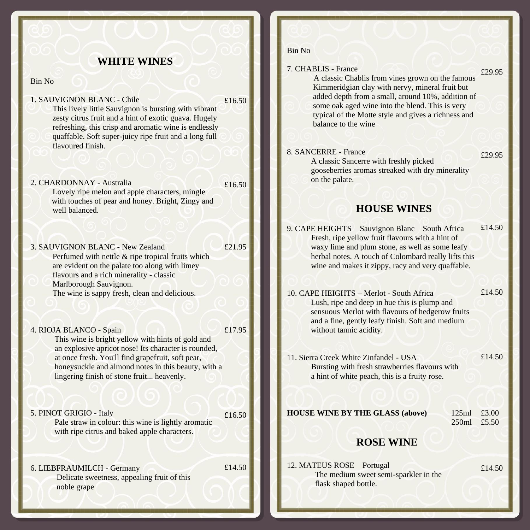#### **WHITE WINES**

Bin No

1. SAUVIGNON BLANC - Chile

£16.50

 This lively little Sauvignon is bursting with vibrant zesty citrus fruit and a hint of exotic guava. Hugely refreshing, this crisp and aromatic wine is endlessly quaffable. Soft super-juicy ripe fruit and a long full flavoured finish.

2. CHARDONNAY - Australia Lovely ripe melon and apple characters, mingle with touches of pear and honey. Bright, Zingy and well balanced. £16.50

3. SAUVIGNON BLANC - New Zealand Perfumed with nettle & ripe tropical fruits which are evident on the palate too along with limey flavours and a rich minerality - classic Marlborough Sauvignon. The wine is sappy fresh, clean and delicious. £21.95

4. RIOJA BLANCO - Spain This wine is bright yellow with hints of gold and an explosive apricot nose! Its character is rounded, at once fresh. You'll find grapefruit, soft pear,

 honeysuckle and almond notes in this beauty, with a lingering finish of stone fruit... heavenly.

5. PINOT GRIGIO - Italy

£16.50

£14.50

i

£17.95

 Pale straw in colour: this wine is lightly aromatic with ripe citrus and baked apple characters.

6. LIEBFRAUMILCH - Germany Delicate sweetness, appealing fruit of this noble grape

Bin No

| 7. CHABLIS - France<br>A classic Chablis from vines grown on the famous<br>Kimmeridgian clay with nervy, mineral fruit but<br>added depth from a small, around 10%, addition of<br>some oak aged wine into the blend. This is very<br>typical of the Motte style and gives a richness and<br>balance to the wine |                |  |  |  |
|------------------------------------------------------------------------------------------------------------------------------------------------------------------------------------------------------------------------------------------------------------------------------------------------------------------|----------------|--|--|--|
| 8. SANCERRE - France<br>A classic Sancerre with freshly picked<br>gooseberries aromas streaked with dry minerality<br>on the palate.                                                                                                                                                                             |                |  |  |  |
| <b>HOUSE WINES</b>                                                                                                                                                                                                                                                                                               |                |  |  |  |
| 9. CAPE HEIGHTS - Sauvignon Blanc - South Africa<br>Fresh, ripe yellow fruit flavours with a hint of<br>waxy lime and plum stone, as well as some leafy<br>herbal notes. A touch of Colombard really lifts this<br>wine and makes it zippy, racy and very quaffable.                                             | £14.50         |  |  |  |
| 10. CAPE HEIGHTS - Merlot - South Africa<br>Lush, ripe and deep in hue this is plump and<br>sensuous Merlot with flavours of hedgerow fruits<br>and a fine, gently leafy finish. Soft and medium<br>without tannic acidity.                                                                                      | £14.50         |  |  |  |
| 11. Sierra Creek White Zinfandel - USA<br>Bursting with fresh strawberries flavours with<br>a hint of white peach, this is a fruity rose.                                                                                                                                                                        | £14.50         |  |  |  |
| <b>HOUSE WINE BY THE GLASS (above)</b><br>125ml<br>250ml                                                                                                                                                                                                                                                         | £3.00<br>£5.50 |  |  |  |
| <b>ROSE WINE</b>                                                                                                                                                                                                                                                                                                 |                |  |  |  |
| 12. MATEUS ROSE - Portugal<br>The medium sweet semi-sparkler in the<br>flask shaped bottle.                                                                                                                                                                                                                      | £14.50         |  |  |  |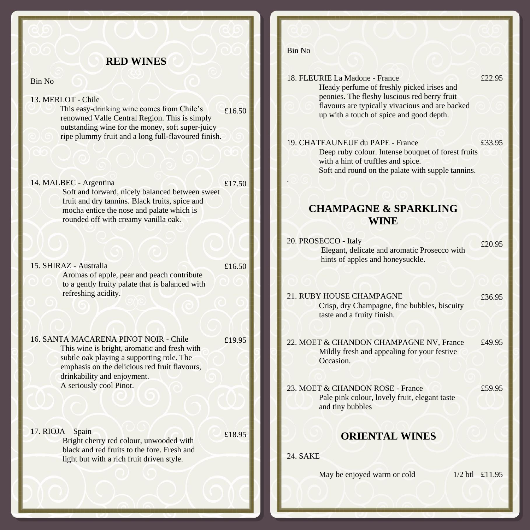#### **RED WINES**

Bin No

- 13. MERLOT Chile
	- This easy-drinking wine comes from Chile's renowned Valle Central Region. This is simply outstanding wine for the money, soft super-juicy ripe plummy fruit and a long full-flavoured finish. £16.50
- 14. MALBEC Argentina Soft and forward, nicely balanced between sweet fruit and dry tannins. Black fruits, spice and mocha entice the nose and palate which is rounded off with creamy vanilla oak. £17.50
- 15. SHIRAZ Australia Aromas of apple, pear and peach contribute to a gently fruity palate that is balanced with refreshing acidity.
- 16. SANTA MACARENA PINOT NOIR Chile This wine is bright, aromatic and fresh with subtle oak playing a supporting role. The emphasis on the delicious red fruit flavours, drinkability and enjoyment. A seriously cool Pinot. £19.95
- 17. RIOJA Spain Bright cherry red colour, unwooded with black and red fruits to the fore. Fresh and light but with a rich fruit driven style. £18.95

#### Bin No

£16.50

i

| 18. FLEURIE La Madone - France<br>Heady perfume of freshly picked irises and<br>peonies. The fleshy luscious red berry fruit<br>flavours are typically vivacious and are backed<br>up with a touch of spice and good depth. |        |  |  |  |  |
|-----------------------------------------------------------------------------------------------------------------------------------------------------------------------------------------------------------------------------|--------|--|--|--|--|
| 19. CHATEAUNEUF du PAPE - France<br>Deep ruby colour. Intense bouquet of forest fruits<br>with a hint of truffles and spice.<br>Soft and round on the palate with supple tannins.                                           | £33.95 |  |  |  |  |
| <b>CHAMPAGNE &amp; SPARKLING</b><br><b>WINE</b>                                                                                                                                                                             |        |  |  |  |  |
| 20. PROSECCO - Italy<br>Elegant, delicate and aromatic Prosecco with<br>hints of apples and honeysuckle.                                                                                                                    | £20.95 |  |  |  |  |
| 21. RUBY HOUSE CHAMPAGNE<br>Crisp, dry Champagne, fine bubbles, biscuity<br>taste and a fruity finish.                                                                                                                      | £36.95 |  |  |  |  |
| 22. MOET & CHANDON CHAMPAGNE NV, France<br>Mildly fresh and appealing for your festive<br>Occasion.                                                                                                                         | £49.95 |  |  |  |  |
| 23. MOET & CHANDON ROSE - France<br>Pale pink colour, lovely fruit, elegant taste<br>and tiny bubbles                                                                                                                       | £59.95 |  |  |  |  |
| <b>ORIENTAL WINES</b>                                                                                                                                                                                                       |        |  |  |  |  |
| <b>24. SAKE</b>                                                                                                                                                                                                             |        |  |  |  |  |
| 1/2 btl £11.95<br>May be enjoyed warm or cold                                                                                                                                                                               |        |  |  |  |  |